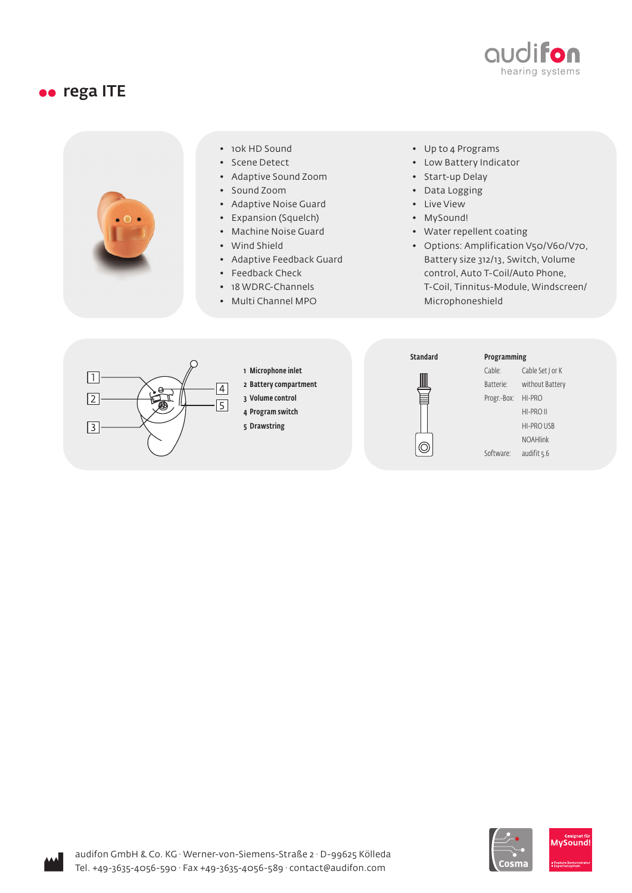

### oo rega ITE



Iosm

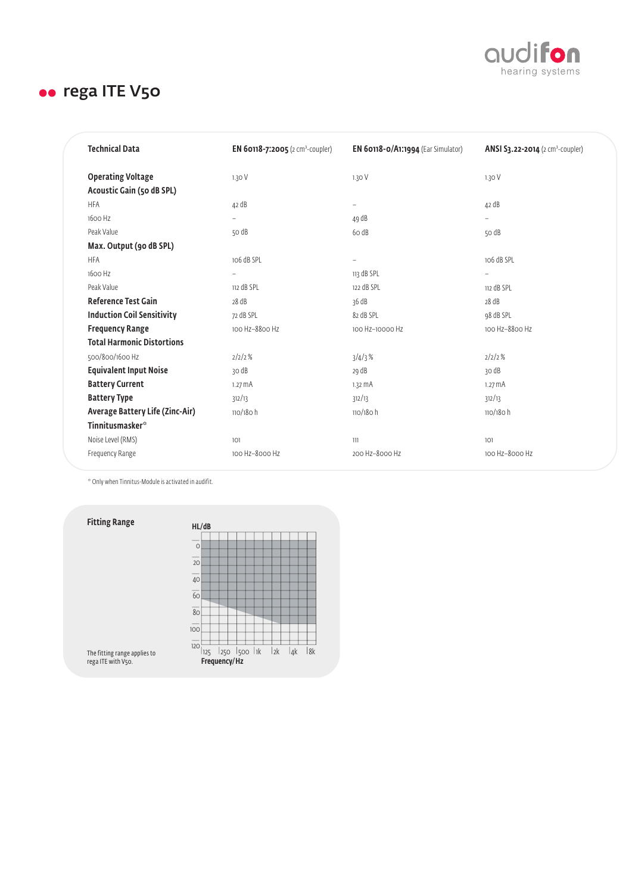

| <b>Technical Data</b>                                 | EN 60118-7:2005 (2 cm <sup>3</sup> -coupler) | <b>EN 60118-0/A1:1994</b> (Ear Simulator) | ANSI 53.22-2014 (2 cm <sup>3</sup> -coupler) |
|-------------------------------------------------------|----------------------------------------------|-------------------------------------------|----------------------------------------------|
| <b>Operating Voltage</b><br>Acoustic Gain (50 dB SPL) | 1.30V                                        | 1.30V                                     | 1.30V                                        |
| <b>HFA</b>                                            | 42 dB                                        | $\qquad \qquad -$                         | 42 dB                                        |
| 1600 Hz                                               |                                              | 49 dB                                     |                                              |
| Peak Value                                            | 50 dB                                        | 6o dB                                     | 50 dB                                        |
| Max. Output (90 dB SPL)                               |                                              |                                           |                                              |
| <b>HFA</b>                                            | 106 dB SPL                                   | $\overline{a}$                            | 106 dB SPL                                   |
| 1600 Hz                                               |                                              | 113 dB SPL                                | $\overline{\phantom{0}}$                     |
| Peak Value                                            | 112 dB SPL                                   | 122 dB SPL                                | 112 dB SPL                                   |
| <b>Reference Test Gain</b>                            | 28 dB                                        | 36 dB                                     | 28 dB                                        |
| <b>Induction Coil Sensitivity</b>                     | 72 dB SPL                                    | 82 dB SPL                                 | 98 dB SPL                                    |
| <b>Frequency Range</b>                                | 100 Hz-8800 Hz                               | 100 Hz-10000 Hz                           | 100 Hz-8800 Hz                               |
| <b>Total Harmonic Distortions</b>                     |                                              |                                           |                                              |
| 500/800/1600 Hz                                       | 2/2/2%                                       | 3/4/3%                                    | 2/2/2%                                       |
| <b>Equivalent Input Noise</b>                         | 30 dB                                        | 29 dB                                     | 30 dB                                        |
| <b>Battery Current</b>                                | $1.27 \text{ mA}$                            | $1.32 \text{ mA}$                         | $1.27 \text{ mA}$                            |
| <b>Battery Type</b>                                   | 312/13                                       | 312/13                                    | 312/13                                       |
| Average Battery Life (Zinc-Air)                       | $110/180$ h                                  | 110/180 h                                 | $110/180$ h                                  |
| Tinnitusmasker*                                       |                                              |                                           |                                              |
| Noise Level (RMS)                                     | 101                                          | 111                                       | 101                                          |
| Frequency Range                                       | 100 Hz-8000 Hz                               | 200 Hz-8000 Hz                            | 100 Hz-8000 Hz                               |

\* Only when Tinnitus-Module is activated in audifit.

Fitting Range

| HL/dB                                                                         |  |  |  |  |  |  |     |                 |    |
|-------------------------------------------------------------------------------|--|--|--|--|--|--|-----|-----------------|----|
|                                                                               |  |  |  |  |  |  |     |                 |    |
| $\circ$                                                                       |  |  |  |  |  |  |     |                 |    |
|                                                                               |  |  |  |  |  |  |     |                 |    |
| $\frac{1}{20}$                                                                |  |  |  |  |  |  |     |                 |    |
|                                                                               |  |  |  |  |  |  |     |                 |    |
| $\frac{1}{40}$                                                                |  |  |  |  |  |  |     |                 |    |
| $\frac{1}{60}$                                                                |  |  |  |  |  |  |     |                 |    |
|                                                                               |  |  |  |  |  |  |     |                 |    |
| $\frac{1}{80}$                                                                |  |  |  |  |  |  |     |                 |    |
|                                                                               |  |  |  |  |  |  |     |                 |    |
| $\frac{1}{100}$                                                               |  |  |  |  |  |  |     |                 |    |
|                                                                               |  |  |  |  |  |  |     |                 |    |
| $\frac{1}{120}$ $\frac{1}{125}$                                               |  |  |  |  |  |  |     |                 |    |
|                                                                               |  |  |  |  |  |  | 12k | l <sub>4k</sub> | 8k |
| $\frac{1}{25}$ $\frac{1}{250}$ $\frac{1}{500}$ $\frac{1}{10}$<br>Frequency/Hz |  |  |  |  |  |  |     |                 |    |

The fitting range applies to rega ITE with V50.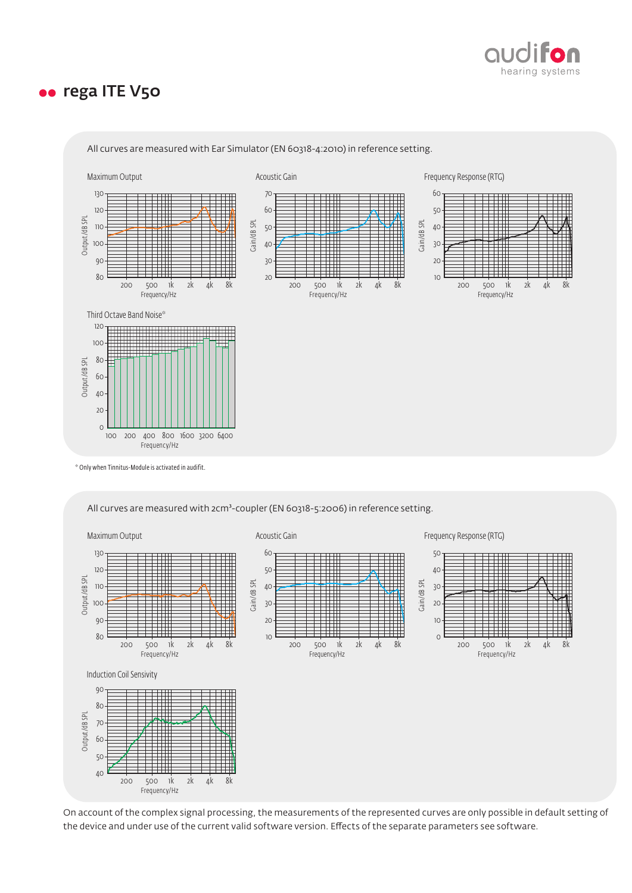



All curves are measured with Ear Simulator (EN 60318-4:2010) in reference setting.

\* Only when Tinnitus-Module is activated in audifit.

All curves are measured with 2cm<sup>3</sup>-coupler (EN 60318-5:2006) in reference setting.



On account of the complex signal processing, the measurements of the represented curves are only possible in default setting of the device and under use of the current valid software version. Effects of the separate parameters see software.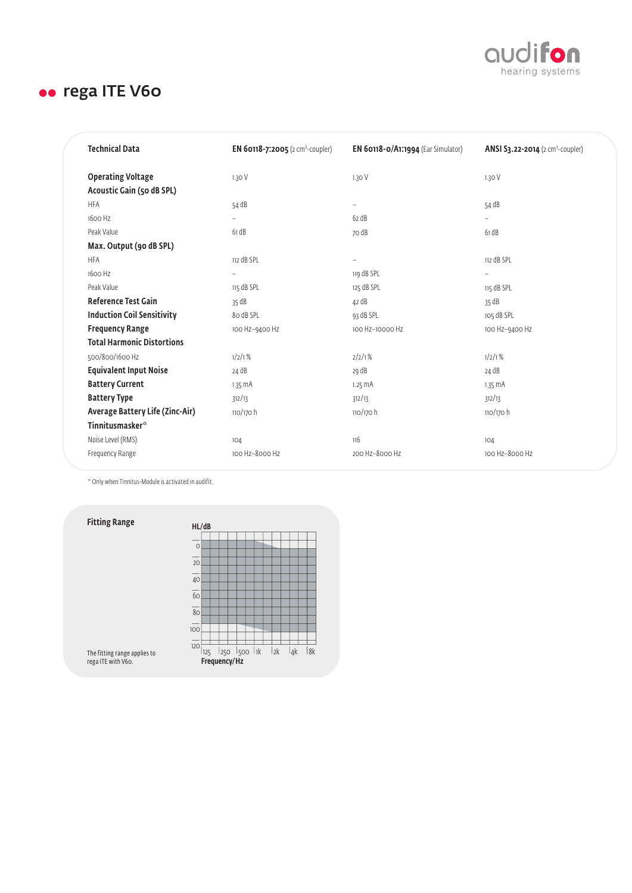

| <b>Technical Data</b>                                 | <b>EN 60118-7:2005</b> (2 cm <sup>3</sup> -coupler) | EN $60118-0/A1:1994$ (Ear Simulator) | ANSI 53.22-2014 (2 cm <sup>3</sup> -coupler) |
|-------------------------------------------------------|-----------------------------------------------------|--------------------------------------|----------------------------------------------|
| <b>Operating Voltage</b><br>Acoustic Gain (50 dB SPL) | 1.30V                                               | 1.30 V                               | 1.30V                                        |
| <b>HFA</b>                                            | 54 dB                                               | $\overline{\phantom{0}}$             | 54 dB                                        |
| 1600 Hz                                               |                                                     | 62 dB                                |                                              |
| Peak Value                                            | 61 dB                                               | 70 dB                                | 61 dB                                        |
| Max. Output (90 dB SPL)                               |                                                     |                                      |                                              |
| <b>HFA</b>                                            | 112 dB SPL                                          | $\overline{\phantom{0}}$             | 112 dB SPL                                   |
| 1600 Hz                                               | $\overline{\phantom{0}}$                            | 119 dB SPL                           | $\overline{\phantom{0}}$                     |
| Peak Value                                            | 115 dB SPL                                          | 125 dB SPL                           | 115 dB SPL                                   |
| <b>Reference Test Gain</b>                            | 35 dB                                               | 42 dB                                | 35 dB                                        |
| <b>Induction Coil Sensitivity</b>                     | 80 dB SPL                                           | 93 dB SPL                            | 105 dB SPL                                   |
| <b>Frequency Range</b>                                | 100 Hz-9400 Hz                                      | 100 Hz-10000 Hz                      | 100 Hz-9400 Hz                               |
| <b>Total Harmonic Distortions</b>                     |                                                     |                                      |                                              |
| 500/800/1600 Hz                                       | 1/2/1%                                              | 2/2/1%                               | 1/2/1%                                       |
| <b>Equivalent Input Noise</b>                         | 24 dB                                               | 29 dB                                | 24 dB                                        |
| <b>Battery Current</b>                                | $1.35 \text{ mA}$                                   | $1.25 \text{ mA}$                    | $1.35 \text{ mA}$                            |
| <b>Battery Type</b>                                   | 312/13                                              | 312/13                               | 312/13                                       |
| Average Battery Life (Zinc-Air)                       | 110/170 h                                           | $110/170$ h                          | $110/170$ h                                  |
| <b>Tinnitusmasker</b> *                               |                                                     |                                      |                                              |
| Noise Level (RMS)                                     | 104                                                 | 116                                  | 104                                          |
| Frequency Range                                       | 100 Hz-8000 Hz                                      | 200 Hz-8000 Hz                       | 100 Hz-8000 Hz                               |

\* Only when Tinnitus-Module is activated in audifit.

Fitting Range



The fitting range applies to rega ITE with V60.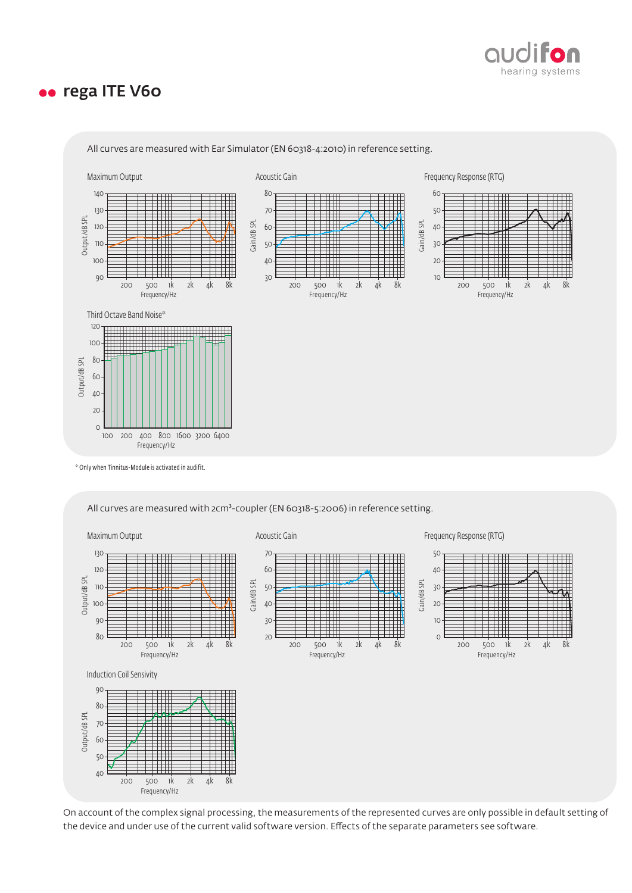



All curves are measured with Ear Simulator (EN 60318-4:2010) in reference setting.

\* Only when Tinnitus-Module is activated in audifit.

All curves are measured with 2cm<sup>3</sup>-coupler (EN 60318-5:2006) in reference setting.



On account of the complex signal processing, the measurements of the represented curves are only possible in default setting of the device and under use of the current valid software version. Effects of the separate parameters see software.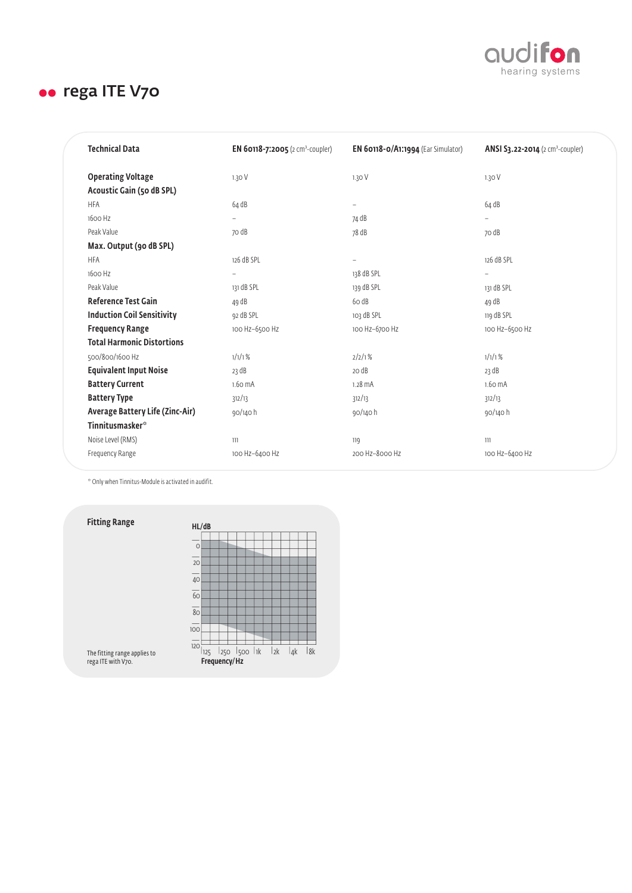

| <b>Technical Data</b>                                 | <b>EN 60118-7:2005</b> (2 cm <sup>3</sup> -coupler) | <b>EN 60118-0/A1:1994</b> (Ear Simulator) | ANSI S3.22-2014 (2 cm <sup>3</sup> -coupler) |
|-------------------------------------------------------|-----------------------------------------------------|-------------------------------------------|----------------------------------------------|
| <b>Operating Voltage</b><br>Acoustic Gain (50 dB SPL) | 1.30V                                               | 1.30V                                     | 1.30V                                        |
| <b>HFA</b>                                            | 64 dB                                               | $\qquad \qquad -$                         | 64 dB                                        |
| 1600 Hz                                               |                                                     | 74 dB                                     |                                              |
| Peak Value                                            | 70 dB                                               | 78 dB                                     | 70 dB                                        |
| Max. Output (90 dB SPL)                               |                                                     |                                           |                                              |
| <b>HFA</b>                                            | 126 dB SPL                                          | $\overline{a}$                            | 126 dB SPL                                   |
| 1600 Hz                                               | -                                                   | 138 dB SPL                                | $\overline{\phantom{a}}$                     |
| Peak Value                                            | 131 dB SPL                                          | 139 dB SPL                                | 131 dB SPL                                   |
| <b>Reference Test Gain</b>                            | 49 dB                                               | 6o dB                                     | 49 dB                                        |
| <b>Induction Coil Sensitivity</b>                     | 92 dB SPL                                           | 103 dB SPL                                | 119 dB SPL                                   |
| <b>Frequency Range</b>                                | 100 Hz-6500 Hz                                      | 100 Hz-6700 Hz                            | 100 Hz-6500 Hz                               |
| <b>Total Harmonic Distortions</b>                     |                                                     |                                           |                                              |
| 500/800/1600 Hz                                       | 1/1/1%                                              | 2/2/1%                                    | 1/1/1%                                       |
| <b>Equivalent Input Noise</b>                         | 23 dB                                               | 20 dB                                     | 23 dB                                        |
| <b>Battery Current</b>                                | 1.60 mA                                             | $1.28 \text{ mA}$                         | 1.60 mA                                      |
| <b>Battery Type</b>                                   | 312/13                                              | 312/13                                    | 312/13                                       |
| Average Battery Life (Zinc-Air)                       | 90/140 h                                            | 90/140 h                                  | 90/140 h                                     |
| Tinnitusmasker*                                       |                                                     |                                           |                                              |
| Noise Level (RMS)                                     | 111                                                 | 119                                       | 111                                          |
| Frequency Range                                       | 100 Hz-6400 Hz                                      | 200 Hz-8000 Hz                            | 100 Hz-6400 Hz                               |

\* Only when Tinnitus-Module is activated in audifit.

Fitting Range



The fitting range applies to rega ITE with V70.